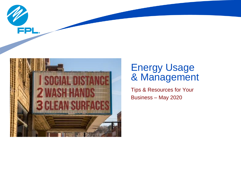



## Energy Usage & Management

Tips & Resources for Your Business – May 2020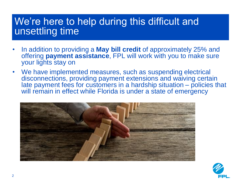## We're here to help during this difficult and unsettling time

- In addition to providing a **May bill credit** of approximately 25% and offering **payment assistance**, FPL will work with you to make sure your lights stay on
- We have implemented measures, such as suspending electrical disconnections, providing payment extensions and waiving certain late payment fees for customers in a hardship situation – policies that will remain in effect while Florida is under a state of emergency



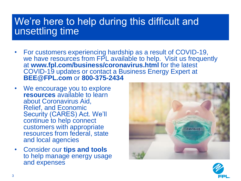## We're here to help during this difficult and unsettling time

- For customers experiencing hardship as a result of COVID-19, we have resources from FPL available to help. Visit us frequently at **www.fpl.com/business/coronavirus.html** for the latest COVID-19 updates or contact a Business Energy Expert at **BEE@FPL.com** or **800-375-2434**
- We encourage you to explore **resources** available to learn about Coronavirus Aid, Relief, and Economic Security (CARES) Act. We'll continue to help connect customers with appropriate resources from federal, state and local agencies
- Consider our **tips and tools**  to help manage energy usage and expenses



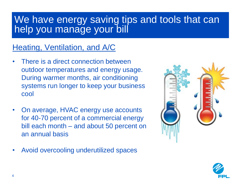## We have energy saving tips and tools that can help you manage your bill

### Heating, Ventilation, and A/C

- There is a direct connection between outdoor temperatures and energy usage. During warmer months, air conditioning systems run longer to keep your business cool
- On average, HVAC energy use accounts for 40-70 percent of a commercial energy bill each month – and about 50 percent on an annual basis
- Avoid overcooling underutilized spaces



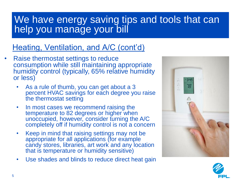# We have energy saving tips and tools that can help you manage your bill

### Heating, Ventilation, and A/C (cont'd)

- Raise thermostat settings to reduce consumption while still maintaining appropriate humidity control (typically, 65% relative humidity or less)
	- As a rule of thumb, you can get about a 3 percent HVAC savings for each degree you raise the thermostat setting
	- In most cases we recommend raising the temperature to 82 degrees or higher when unoccupied, however, consider turning the A/C completely off if humidity control is not a concern
	- Keep in mind that raising settings may not be appropriate for all applications (for example candy stores, libraries, art work and any location that is temperature or humidity sensitive)
	- Use shades and blinds to reduce direct heat gain



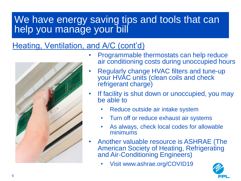# We have energy saving tips and tools that can help you manage your bill

### Heating, Ventilation, and A/C (cont'd)



- Programmable thermostats can help reduce air conditioning costs during unoccupied hours
- Regularly change HVAC filters and tune-up your HVAC units (clean coils and check refrigerant charge)
- If facility is shut down or unoccupied, you may be able to
	- Reduce outside air intake system
	- Turn off or reduce exhaust air systems
	- As always, check local codes for allowable minimums
- Another valuable resource is ASHRAE (The American Society of Heating, Refrigerating and Air-Conditioning Engineers)
	- Visit www.ashrae.org/COVID19

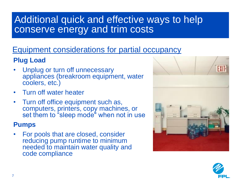# Additional quick and effective ways to help conserve energy and trim costs

### Equipment considerations for partial occupancy

### **Plug Load**

- Unplug or turn off unnecessary appliances (breakroom equipment, water coolers, etc.)
- Turn off water heater
- Turn off office equipment such as, computers, printers, copy machines, or set them to "sleep mode" when not in use

### **Pumps**

• For pools that are closed, consider reducing pump runtime to minimum needed to maintain water quality and code compliance



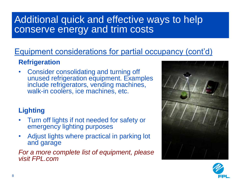# Additional quick and effective ways to help conserve energy and trim costs

### Equipment considerations for partial occupancy (cont'd)

### **Refrigeration**

• Consider consolidating and turning off unused refrigeration equipment. Examples include refrigerators, vending machines, walk-in coolers, ice machines, etc.

### **Lighting**

- Turn off lights if not needed for safety or emergency lighting purposes
- Adjust lights where practical in parking lot and garage

### *For a more complete list of equipment, please visit FPL.com*



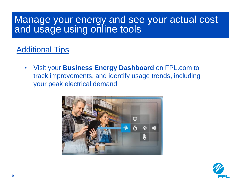### Manage your energy and see your actual cost and usage using online tools

### Additional Tips

• Visit your **Business Energy Dashboard** on FPL.com to track improvements, and identify usage trends, including your peak electrical demand



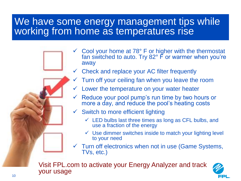### We have some energy management tips while working from home as temperatures rise



- $\checkmark$  Check and replace your AC filter frequently
	- Turn off your ceiling fan when you leave the room
	- Lower the temperature on your water heater
- $\checkmark$  Reduce your pool pump's run time by two hours or more a day, and reduce the pool's heating costs
- $\checkmark$  Switch to more efficient lighting
	- $\checkmark$  LED bulbs last three times as long as CFL bulbs, and use a fraction of the energy
	- $\checkmark$  Use dimmer switches inside to match your lighting level to your need
- $\checkmark$  Turn off electronics when not in use (Game Systems, TVs, etc.)

Visit FPL.com to activate your Energy Analyzer and track your usage

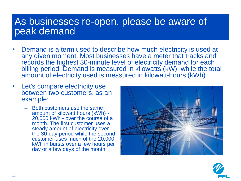### As businesses re-open, please be aware of peak demand

- Demand is a term used to describe how much electricity is used at any given moment. Most businesses have a meter that tracks and records the highest 30-minute level of electricity demand for each billing period. Demand is measured in kilowatts (kW), while the total amount of electricity used is measured in kilowatt-hours (kWh)
- Let's compare electricity use between two customers, as an example:
	- Both customers use the same amount of kilowatt hours (kWh) - 20,000 kWh - over the course of a month. The first customer uses a steady amount of electricity over the 30-day period while the second customer uses much of the 20,000 kWh in bursts over a few hours per day or a few days of the month



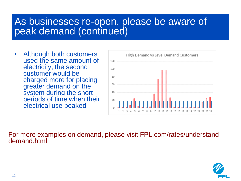### As businesses re-open, please be aware of peak demand (continued)

• Although both customers used the same amount of electricity, the second customer would be charged more for placing greater demand on the system during the short periods of time when their electrical use peaked



For more examples on demand, please visit FPL.com/rates/understanddemand.html

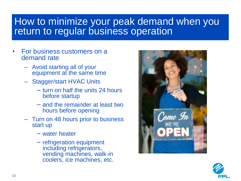## How to minimize your peak demand when you return to regular business operation

- For business customers on a demand rate
	- Avoid starting all of your equipment at the same time
	- Stagger/start HVAC Units
		- -- turn on half the units 24 hours before startup
		- and the remainder at least two hours before opening
	- Turn on 48 hours prior to business start up
		- water heater
		- -- refrigeration equipment including refrigerators, vending machines, walk-in coolers, ice machines, etc.



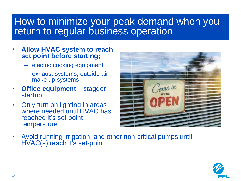## How to minimize your peak demand when you return to regular business operation

- **Allow HVAC system to reach set point before starting;** 
	- electric cooking equipment
	- exhaust systems, outside air make up systems
- **Office equipment** stagger startup
- Only turn on lighting in areas where needed until HVAC has reached it's set point temperature



• Avoid running irrigation, and other non-critical pumps until HVAC(s) reach it's set-point

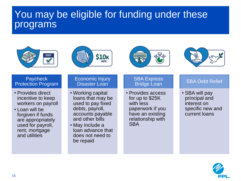# You may be eligible for funding under these programs









#### **Paycheck** Protection Program

- Provides direct incentive to keep workers on payroll
- Loan will be forgiven if funds are appropriately used for payroll, rent, mortgage and utilities

### Economic Injury Disaster Loan

- Working capital loans that may be used to pay fixed debts, payroll, accounts payable and other bills
- May include a loan advance that does not need to be repaid

### **SBA Express** Bridge Loan

• Provides access for up to \$25K with less paperwork if you have an existing relationship with **SBA** 

### SBA Debt Relief

• SBA will pay principal and interest on specific new and current loans